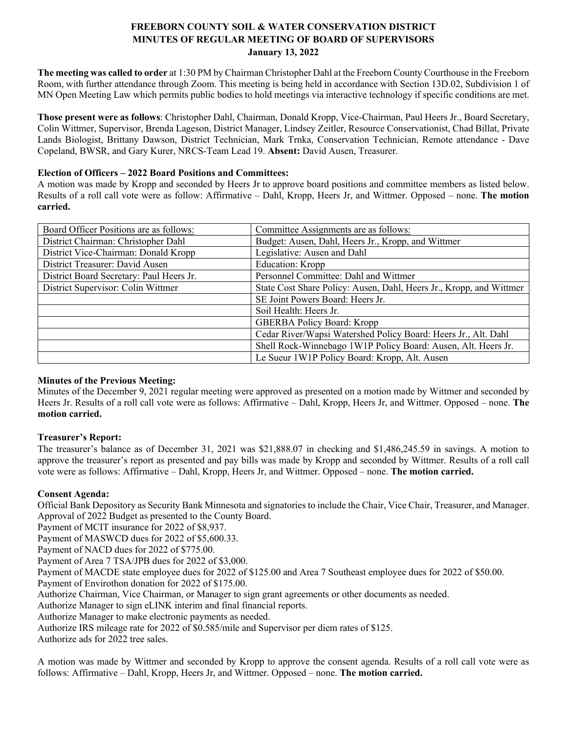# **FREEBORN COUNTY SOIL & WATER CONSERVATION DISTRICT MINUTES OF REGULAR MEETING OF BOARD OF SUPERVISORS January 13, 2022**

**The meeting was called to order** at 1:30 PM by Chairman Christopher Dahl at the Freeborn County Courthouse in the Freeborn Room, with further attendance through Zoom. This meeting is being held in accordance with Section 13D.02, Subdivision 1 of MN Open Meeting Law which permits public bodies to hold meetings via interactive technology if specific conditions are met.

**Those present were as follows**: Christopher Dahl, Chairman, Donald Kropp, Vice-Chairman, Paul Heers Jr., Board Secretary, Colin Wittmer, Supervisor, Brenda Lageson, District Manager, Lindsey Zeitler, Resource Conservationist, Chad Billat, Private Lands Biologist, Brittany Dawson, District Technician, Mark Trnka, Conservation Technician, Remote attendance - Dave Copeland, BWSR, and Gary Kurer, NRCS-Team Lead 19. **Absent:** David Ausen, Treasurer.

## **Election of Officers – 2022 Board Positions and Committees:**

A motion was made by Kropp and seconded by Heers Jr to approve board positions and committee members as listed below. Results of a roll call vote were as follow: Affirmative – Dahl, Kropp, Heers Jr, and Wittmer. Opposed – none. **The motion carried.**

| Board Officer Positions are as follows:  | Committee Assignments are as follows:                                                                          |  |  |
|------------------------------------------|----------------------------------------------------------------------------------------------------------------|--|--|
| District Chairman: Christopher Dahl      | Budget: Ausen, Dahl, Heers Jr., Kropp, and Wittmer                                                             |  |  |
| District Vice-Chairman: Donald Kropp     | Legislative: Ausen and Dahl                                                                                    |  |  |
| District Treasurer: David Ausen          | <b>Education:</b> Kropp                                                                                        |  |  |
| District Board Secretary: Paul Heers Jr. | Personnel Committee: Dahl and Wittmer                                                                          |  |  |
| District Supervisor: Colin Wittmer       | State Cost Share Policy: Ausen, Dahl, Heers Jr., Kropp, and Wittmer                                            |  |  |
|                                          | SE Joint Powers Board: Heers Jr.                                                                               |  |  |
|                                          | Soil Health: Heers Jr.                                                                                         |  |  |
|                                          | <b>GBERBA Policy Board: Kropp</b>                                                                              |  |  |
|                                          | Cedar River/Wapsi Watershed Policy Board: Heers Jr., Alt. Dahl                                                 |  |  |
|                                          | Shell Rock-Winnebago 1W1P Policy Board: Ausen, Alt. Heers Jr.<br>Le Sueur 1W1P Policy Board: Kropp, Alt. Ausen |  |  |
|                                          |                                                                                                                |  |  |

## **Minutes of the Previous Meeting:**

Minutes of the December 9, 2021 regular meeting were approved as presented on a motion made by Wittmer and seconded by Heers Jr. Results of a roll call vote were as follows: Affirmative – Dahl, Kropp, Heers Jr, and Wittmer. Opposed – none. **The motion carried.**

# **Treasurer's Report:**

The treasurer's balance as of December 31, 2021 was \$21,888.07 in checking and \$1,486,245.59 in savings. A motion to approve the treasurer's report as presented and pay bills was made by Kropp and seconded by Wittmer. Results of a roll call vote were as follows: Affirmative – Dahl, Kropp, Heers Jr, and Wittmer. Opposed – none. **The motion carried.**

# **Consent Agenda:**

Official Bank Depository as Security Bank Minnesota and signatories to include the Chair, Vice Chair, Treasurer, and Manager. Approval of 2022 Budget as presented to the County Board.

Payment of MCIT insurance for 2022 of \$8,937.

Payment of MASWCD dues for 2022 of \$5,600.33.

Payment of NACD dues for 2022 of \$775.00.

Payment of Area 7 TSA/JPB dues for 2022 of \$3,000.

Payment of MACDE state employee dues for 2022 of \$125.00 and Area 7 Southeast employee dues for 2022 of \$50.00.

Payment of Envirothon donation for 2022 of \$175.00.

Authorize Chairman, Vice Chairman, or Manager to sign grant agreements or other documents as needed.

Authorize Manager to sign eLINK interim and final financial reports.

Authorize Manager to make electronic payments as needed.

Authorize IRS mileage rate for 2022 of \$0.585/mile and Supervisor per diem rates of \$125.

Authorize ads for 2022 tree sales.

A motion was made by Wittmer and seconded by Kropp to approve the consent agenda. Results of a roll call vote were as follows: Affirmative – Dahl, Kropp, Heers Jr, and Wittmer. Opposed – none. **The motion carried.**